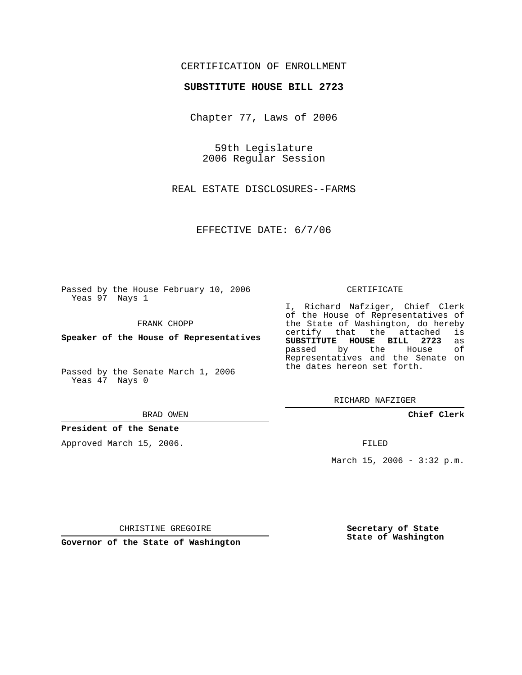## CERTIFICATION OF ENROLLMENT

### **SUBSTITUTE HOUSE BILL 2723**

Chapter 77, Laws of 2006

59th Legislature 2006 Regular Session

REAL ESTATE DISCLOSURES--FARMS

EFFECTIVE DATE: 6/7/06

Passed by the House February 10, 2006 Yeas 97 Nays 1

FRANK CHOPP

**Speaker of the House of Representatives**

Passed by the Senate March 1, 2006 Yeas 47 Nays 0

#### BRAD OWEN

### **President of the Senate**

Approved March 15, 2006.

#### CERTIFICATE

I, Richard Nafziger, Chief Clerk of the House of Representatives of the State of Washington, do hereby<br>certify that the attached is certify that the attached **SUBSTITUTE HOUSE BILL 2723** as passed by the Representatives and the Senate on the dates hereon set forth.

RICHARD NAFZIGER

**Chief Clerk**

FILED

March 15, 2006 - 3:32 p.m.

CHRISTINE GREGOIRE

**Governor of the State of Washington**

**Secretary of State State of Washington**